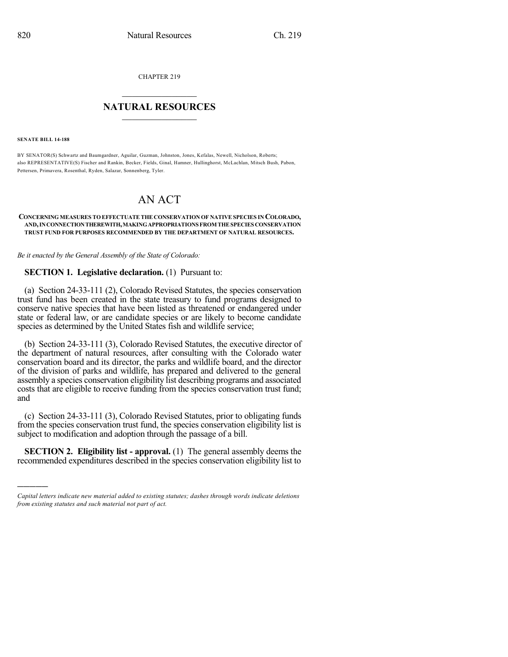CHAPTER 219

## $\overline{\phantom{a}}$  . The set of the set of the set of the set of the set of the set of the set of the set of the set of the set of the set of the set of the set of the set of the set of the set of the set of the set of the set o **NATURAL RESOURCES**  $\frac{1}{\sqrt{2}}$  , where  $\frac{1}{\sqrt{2}}$  ,  $\frac{1}{\sqrt{2}}$  ,  $\frac{1}{\sqrt{2}}$

**SENATE BILL 14-188**

)))))

BY SENATOR(S) Schwartz and Baumgardner, Aguilar, Guzman, Johnston, Jones, Kefalas, Newell, Nicholson, Roberts; also REPRESENTATIVE(S) Fischer and Rankin, Becker, Fields, Ginal, Hamner, Hullinghorst, McLachlan, Mitsch Bush, Pabon, Pettersen, Primavera, Rosenthal, Ryden, Salazar, Sonnenberg, Tyler.

## AN ACT

## **CONCERNING MEASURES TO EFFECTUATE THE CONSERVATION OF NATIVE SPECIES IN COLORADO, AND,INCONNECTIONTHEREWITH,MAKINGAPPROPRIATIONS FROM THESPECIES CONSERVATION TRUST FUND FOR PURPOSES RECOMMENDED BY THE DEPARTMENT OF NATURAL RESOURCES.**

*Be it enacted by the General Assembly of the State of Colorado:*

## **SECTION 1. Legislative declaration.** (1) Pursuant to:

(a) Section 24-33-111 (2), Colorado Revised Statutes, the species conservation trust fund has been created in the state treasury to fund programs designed to conserve native species that have been listed as threatened or endangered under state or federal law, or are candidate species or are likely to become candidate species as determined by the United States fish and wildlife service;

(b) Section 24-33-111 (3), Colorado Revised Statutes, the executive director of the department of natural resources, after consulting with the Colorado water conservation board and its director, the parks and wildlife board, and the director of the division of parks and wildlife, has prepared and delivered to the general assembly a species conservation eligibility list describing programs and associated costs that are eligible to receive funding from the species conservation trust fund; and

(c) Section 24-33-111 (3), Colorado Revised Statutes, prior to obligating funds from the species conservation trust fund, the species conservation eligibility list is subject to modification and adoption through the passage of a bill.

**SECTION 2. Eligibility list - approval.** (1) The general assembly deems the recommended expenditures described in the species conservation eligibility list to

*Capital letters indicate new material added to existing statutes; dashes through words indicate deletions from existing statutes and such material not part of act.*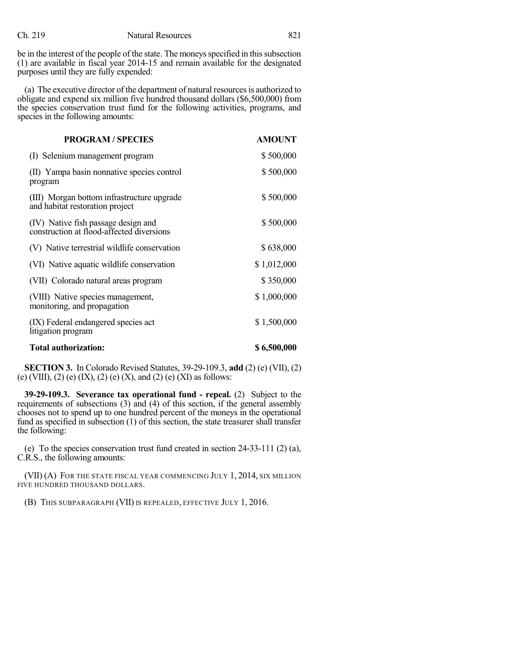be in the interest of the people of the state. The moneys specified in this subsection (1) are available in fiscal year 2014-15 and remain available for the designated purposes until they are fully expended:

(a) The executive director of the department of natural resourcesis authorized to obligate and expend six million five hundred thousand dollars (\$6,500,000) from the species conservation trust fund for the following activities, programs, and species in the following amounts:

| <b>PROGRAM / SPECIES</b>                                                         | <b>AMOUNT</b> |
|----------------------------------------------------------------------------------|---------------|
| (I) Selenium management program                                                  | \$500,000     |
| (II) Yampa basin nonnative species control<br>program                            | \$500,000     |
| (III) Morgan bottom infrastructure upgrade<br>and habitat restoration project    | \$500,000     |
| (IV) Native fish passage design and<br>construction at flood-affected diversions | \$500,000     |
| (V) Native terrestrial wildlife conservation                                     | \$638,000     |
| (VI) Native aquatic wildlife conservation                                        | \$1,012,000   |
| (VII) Colorado natural areas program                                             | \$350,000     |
| (VIII) Native species management,<br>monitoring, and propagation                 | \$1,000,000   |
| (IX) Federal endangered species act<br>litigation program                        | \$1,500,000   |
| Total authorization:                                                             | \$6,500,000   |

**SECTION 3.** In Colorado Revised Statutes, 39-29-109.3, **add** (2) (e) (VII), (2) (e) (VIII), (2) (e) (IX), (2) (e) (X), and (2) (e) (XI) as follows:

**39-29-109.3. Severance tax operational fund - repeal.** (2) Subject to the requirements of subsections (3) and (4) of this section, if the general assembly chooses not to spend up to one hundred percent of the moneys in the operational fund as specified in subsection (1) of this section, the state treasurer shall transfer the following:

(e) To the species conservation trust fund created in section 24-33-111 (2) (a), C.R.S., the following amounts:

(VII) (A) FOR THE STATE FISCAL YEAR COMMENCING JULY 1, 2014, SIX MILLION FIVE HUNDRED THOUSAND DOLLARS.

(B) THIS SUBPARAGRAPH (VII) IS REPEALED, EFFECTIVE JULY 1, 2016.